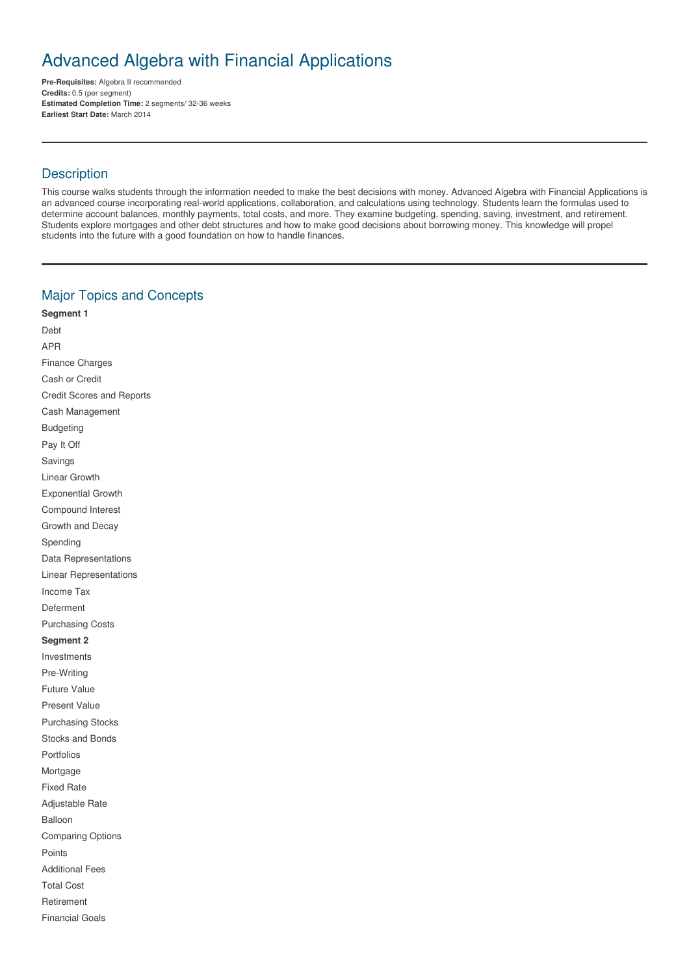# Advanced Algebra with Financial Applications

**Pre-Requisites:** Algebra II recommended **Credits:** 0.5 (per segment) **Estimated Completion Time:** 2 segments/ 32-36 weeks **Earliest Start Date:** March 2014

## **Description**

This course walks students through the information needed to make the best decisions with money. Advanced Algebra with Financial Applications is an advanced course incorporating real-world applications, collaboration, and calculations using technology. Students learn the formulas used to determine account balances, monthly payments, total costs, and more. They examine budgeting, spending, saving, investment, and retirement. Students explore mortgages and other debt structures and how to make good decisions about borrowing money. This knowledge will propel students into the future with a good foundation on how to handle finances.

# Major Topics and Concepts

**Segment 1** Debt APR Finance Charges Cash or Credit Credit Scores and Reports Cash Management Budgeting Pay It Off Savings Linear Growth Exponential Growth Compound Interest Growth and Decay Spending Data Representations Linear Representations Income Tax Deferment Purchasing Costs **Segment 2** Investments Pre-Writing Future Value Present Value Purchasing Stocks Stocks and Bonds Portfolios Mortgage Fixed Rate Adjustable Rate Balloon Comparing Options Points Additional Fees Total Cost Retirement Financial Goals